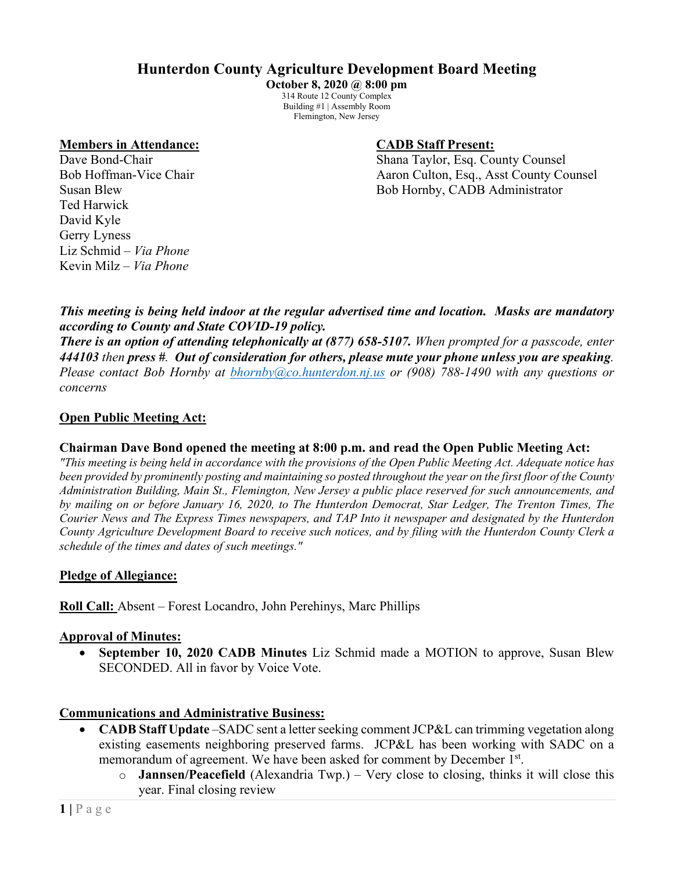# **Hunterdon County Agriculture Development Board Meeting**

**October 8, 2020 @ 8:00 pm** 314 Route 12 County Complex Building #1 | Assembly Room Flemington, New Jersey

#### **Members in Attendance: CADB Staff Present:**

Dave Bond-Chair **Shana Taylor, Esq. County Counsel** Bob Hoffman-Vice Chair Aaron Culton, Esq., Asst County Counsel Susan Blew Bob Hornby, CADB Administrator

Ted Harwick David Kyle Gerry Lyness Liz Schmid – *Via Phone* Kevin Milz *– Via Phone*

*This meeting is being held indoor at the regular advertised time and location. Masks are mandatory according to County and State COVID-19 policy.*

*There is an option of attending telephonically at (877) 658-5107. When prompted for a passcode, enter 444103 then press #. Out of consideration for others, please mute your phone unless you are speaking. Please contact Bob Hornby at [bhornby@co.hunterdon.nj.us](mailto:bhornby@co.hunterdon.nj.us) or (908) 788-1490 with any questions or concerns* 

#### **Open Public Meeting Act:**

#### **Chairman Dave Bond opened the meeting at 8:00 p.m. and read the Open Public Meeting Act:**

*"This meeting is being held in accordance with the provisions of the Open Public Meeting Act. Adequate notice has been provided by prominently posting and maintaining so posted throughout the year on the first floor of the County Administration Building, Main St., Flemington, New Jersey a public place reserved for such announcements, and by mailing on or before January 16, 2020, to The Hunterdon Democrat, Star Ledger, The Trenton Times, The Courier News and The Express Times newspapers, and TAP Into it newspaper and designated by the Hunterdon County Agriculture Development Board to receive such notices, and by filing with the Hunterdon County Clerk a schedule of the times and dates of such meetings."*

#### **Pledge of Allegiance:**

**Roll Call:** Absent – Forest Locandro, John Perehinys, Marc Phillips

#### **Approval of Minutes:**

• **September 10, 2020 CADB Minutes** Liz Schmid made a MOTION to approve, Susan Blew SECONDED. All in favor by Voice Vote.

#### **Communications and Administrative Business:**

- **CADB Staff Update** –SADC sent a letter seeking comment JCP&L can trimming vegetation along existing easements neighboring preserved farms. JCP&L has been working with SADC on a memorandum of agreement. We have been asked for comment by December 1<sup>st</sup>.
	- o **Jannsen/Peacefield** (Alexandria Twp.) Very close to closing, thinks it will close this year. Final closing review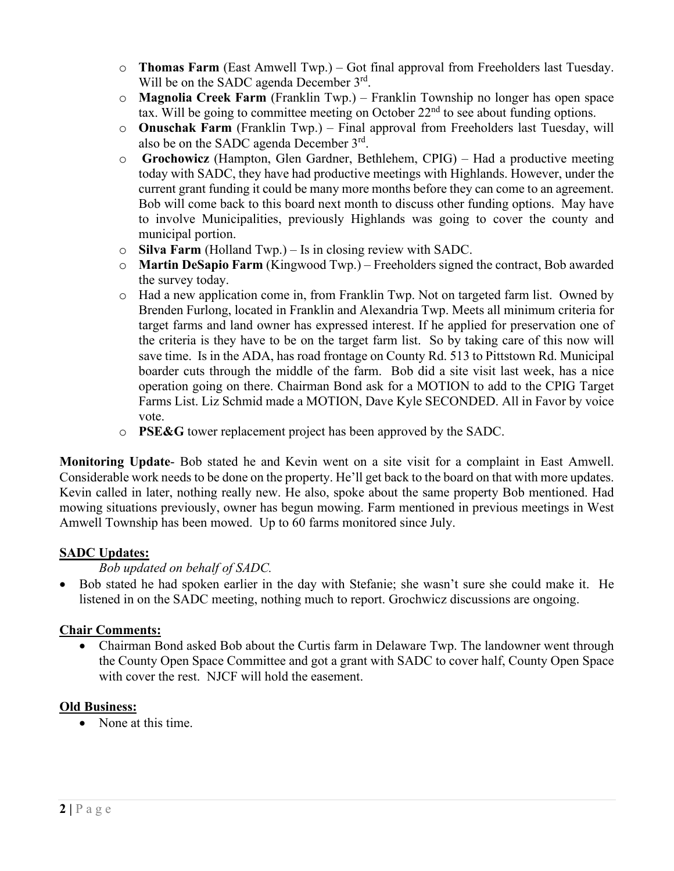- o **Thomas Farm** (East Amwell Twp.) Got final approval from Freeholders last Tuesday. Will be on the SADC agenda December 3<sup>rd</sup>.
- o **Magnolia Creek Farm** (Franklin Twp.) Franklin Township no longer has open space tax. Will be going to committee meeting on October  $22<sup>nd</sup>$  to see about funding options.
- o **Onuschak Farm** (Franklin Twp.) Final approval from Freeholders last Tuesday, will also be on the SADC agenda December 3rd.
- o **Grochowicz** (Hampton, Glen Gardner, Bethlehem, CPIG) Had a productive meeting today with SADC, they have had productive meetings with Highlands. However, under the current grant funding it could be many more months before they can come to an agreement. Bob will come back to this board next month to discuss other funding options. May have to involve Municipalities, previously Highlands was going to cover the county and municipal portion.
- o **Silva Farm** (Holland Twp.) Is in closing review with SADC.
- o **Martin DeSapio Farm** (Kingwood Twp.) Freeholders signed the contract, Bob awarded the survey today.
- o Had a new application come in, from Franklin Twp. Not on targeted farm list. Owned by Brenden Furlong, located in Franklin and Alexandria Twp. Meets all minimum criteria for target farms and land owner has expressed interest. If he applied for preservation one of the criteria is they have to be on the target farm list. So by taking care of this now will save time. Is in the ADA, has road frontage on County Rd. 513 to Pittstown Rd. Municipal boarder cuts through the middle of the farm. Bob did a site visit last week, has a nice operation going on there. Chairman Bond ask for a MOTION to add to the CPIG Target Farms List. Liz Schmid made a MOTION, Dave Kyle SECONDED. All in Favor by voice vote.
- o **PSE&G** tower replacement project has been approved by the SADC.

**Monitoring Update**- Bob stated he and Kevin went on a site visit for a complaint in East Amwell. Considerable work needs to be done on the property. He'll get back to the board on that with more updates. Kevin called in later, nothing really new. He also, spoke about the same property Bob mentioned. Had mowing situations previously, owner has begun mowing. Farm mentioned in previous meetings in West Amwell Township has been mowed. Up to 60 farms monitored since July.

# **SADC Updates:**

# *Bob updated on behalf of SADC.*

• Bob stated he had spoken earlier in the day with Stefanie; she wasn't sure she could make it. He listened in on the SADC meeting, nothing much to report. Grochwicz discussions are ongoing.

# **Chair Comments:**

• Chairman Bond asked Bob about the Curtis farm in Delaware Twp. The landowner went through the County Open Space Committee and got a grant with SADC to cover half, County Open Space with cover the rest. NJCF will hold the easement.

# **Old Business:**

• None at this time.